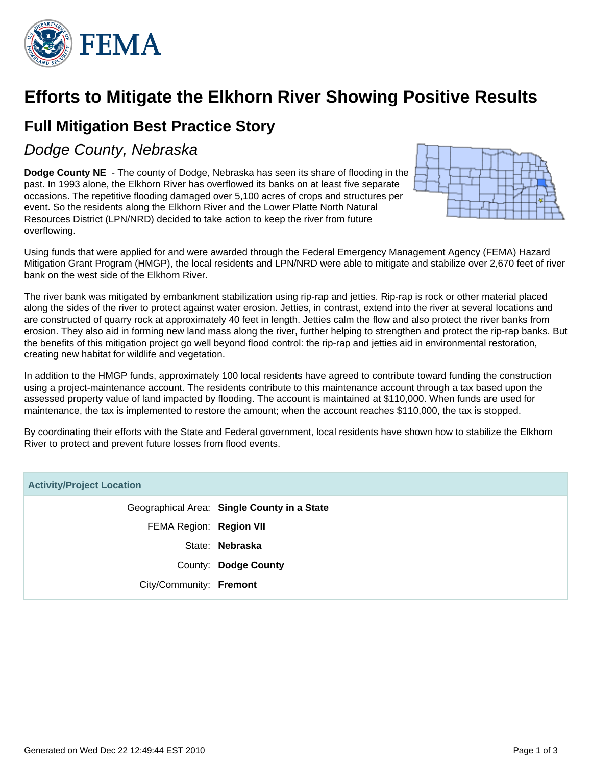

# **Efforts to Mitigate the Elkhorn River Showing Positive Results**

## **Full Mitigation Best Practice Story**

### Dodge County, Nebraska

**Dodge County NE** - The county of Dodge, Nebraska has seen its share of flooding in the past. In 1993 alone, the Elkhorn River has overflowed its banks on at least five separate occasions. The repetitive flooding damaged over 5,100 acres of crops and structures per event. So the residents along the Elkhorn River and the Lower Platte North Natural Resources District (LPN/NRD) decided to take action to keep the river from future overflowing.



Using funds that were applied for and were awarded through the Federal Emergency Management Agency (FEMA) Hazard Mitigation Grant Program (HMGP), the local residents and LPN/NRD were able to mitigate and stabilize over 2,670 feet of river bank on the west side of the Elkhorn River.

The river bank was mitigated by embankment stabilization using rip-rap and jetties. Rip-rap is rock or other material placed along the sides of the river to protect against water erosion. Jetties, in contrast, extend into the river at several locations and are constructed of quarry rock at approximately 40 feet in length. Jetties calm the flow and also protect the river banks from erosion. They also aid in forming new land mass along the river, further helping to strengthen and protect the rip-rap banks. But the benefits of this mitigation project go well beyond flood control: the rip-rap and jetties aid in environmental restoration, creating new habitat for wildlife and vegetation.

In addition to the HMGP funds, approximately 100 local residents have agreed to contribute toward funding the construction using a project-maintenance account. The residents contribute to this maintenance account through a tax based upon the assessed property value of land impacted by flooding. The account is maintained at \$110,000. When funds are used for maintenance, the tax is implemented to restore the amount; when the account reaches \$110,000, the tax is stopped.

By coordinating their efforts with the State and Federal government, local residents have shown how to stabilize the Elkhorn River to protect and prevent future losses from flood events.

| <b>Activity/Project Location</b> |                                             |
|----------------------------------|---------------------------------------------|
|                                  | Geographical Area: Single County in a State |
| FEMA Region: Region VII          |                                             |
|                                  | State: Nebraska                             |
|                                  | County: Dodge County                        |
| City/Community: Fremont          |                                             |